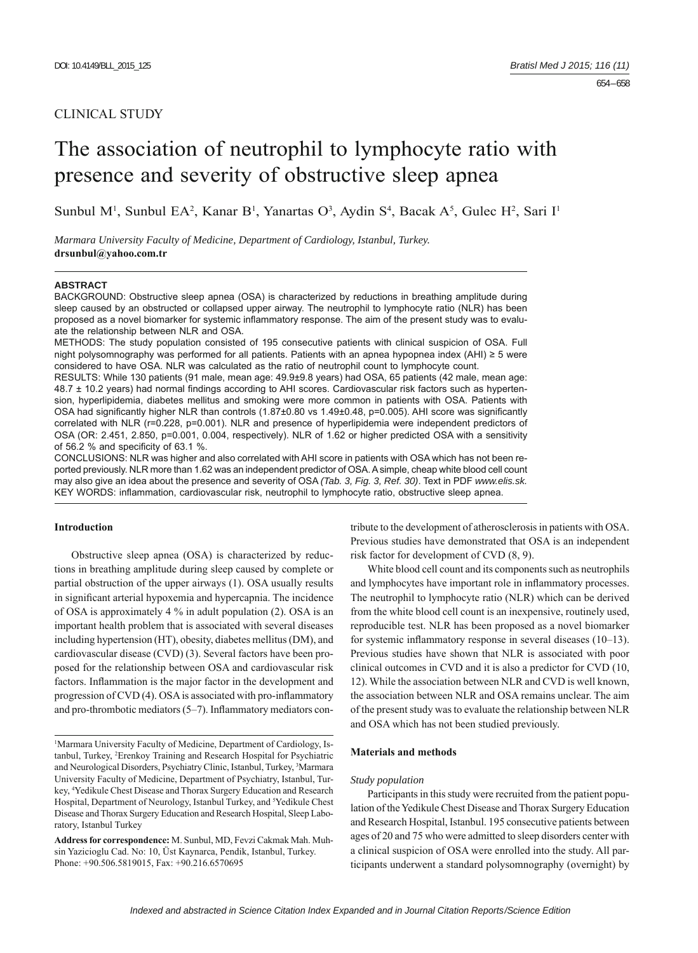# CLINICAL STUDY

# The association of neutrophil to lymphocyte ratio with presence and severity of obstructive sleep apnea

Sunbul M<sup>1</sup>, Sunbul EA<sup>2</sup>, Kanar B<sup>1</sup>, Yanartas O<sup>3</sup>, Aydin S<sup>4</sup>, Bacak A<sup>5</sup>, Gulec H<sup>2</sup>, Sari I<sup>1</sup>

*Marmara University Faculty of Medicine, Department of Cardiology, Istanbul, Turkey.*  **drsunbul@yahoo.com.tr**

#### **ABSTRACT**

BACKGROUND: Obstructive sleep apnea (OSA) is characterized by reductions in breathing amplitude during sleep caused by an obstructed or collapsed upper airway. The neutrophil to lymphocyte ratio (NLR) has been proposed as a novel biomarker for systemic inflammatory response. The aim of the present study was to evaluate the relationship between NLR and OSA.

METHODS: The study population consisted of 195 consecutive patients with clinical suspicion of OSA. Full night polysomnography was performed for all patients. Patients with an apnea hypopnea index (AHI) ≥ 5 were considered to have OSA. NLR was calculated as the ratio of neutrophil count to lymphocyte count.

RESULTS: While 130 patients (91 male, mean age: 49.9±9.8 years) had OSA, 65 patients (42 male, mean age: 48.7 ± 10.2 years) had normal findings according to AHI scores. Cardiovascular risk factors such as hypertension, hyperlipidemia, diabetes mellitus and smoking were more common in patients with OSA. Patients with OSA had significantly higher NLR than controls (1.87±0.80 vs 1.49±0.48, p=0.005). AHI score was significantly correlated with NLR (r=0.228, p=0.001). NLR and presence of hyperlipidemia were independent predictors of OSA (OR: 2.451, 2.850, p=0.001, 0.004, respectively). NLR of 1.62 or higher predicted OSA with a sensitivity of 56.2  $%$  and specificity of 63.1  $%$ .

CONCLUSIONS: NLR was higher and also correlated with AHI score in patients with OSA which has not been reported previously. NLR more than 1.62 was an independent predictor of OSA. A simple, cheap white blood cell count may also give an idea about the presence and severity of OSA *(Tab. 3, Fig. 3, Ref. 30)*. Text in PDF *www.elis.sk.* KEY WORDS: inflammation, cardiovascular risk, neutrophil to lymphocyte ratio, obstructive sleep apnea.

# **Introduction**

Obstructive sleep apnea (OSA) is characterized by reductions in breathing amplitude during sleep caused by complete or partial obstruction of the upper airways (1). OSA usually results in significant arterial hypoxemia and hypercapnia. The incidence of OSA is approximately 4 % in adult population (2). OSA is an important health problem that is associated with several diseases including hypertension (HT), obesity, diabetes mellitus (DM), and cardiovascular disease (CVD) (3). Several factors have been proposed for the relationship between OSA and cardiovascular risk factors. Inflammation is the major factor in the development and progression of CVD  $(4)$ . OSA is associated with pro-inflammatory and pro-thrombotic mediators  $(5-7)$ . Inflammatory mediators contribute to the development of atherosclerosis in patients with OSA. Previous studies have demonstrated that OSA is an independent risk factor for development of CVD (8, 9).

White blood cell count and its components such as neutrophils and lymphocytes have important role in inflammatory processes. The neutrophil to lymphocyte ratio (NLR) which can be derived from the white blood cell count is an inexpensive, routinely used, reproducible test. NLR has been proposed as a novel biomarker for systemic inflammatory response in several diseases (10–13). Previous studies have shown that NLR is associated with poor clinical outcomes in CVD and it is also a predictor for CVD (10, 12). While the association between NLR and CVD is well known, the association between NLR and OSA remains unclear. The aim of the present study was to evaluate the relationship between NLR and OSA which has not been studied previously.

#### **Materials and methods**

#### *Study population*

Participants in this study were recruited from the patient population of the Yedikule Chest Disease and Thorax Surgery Education and Research Hospital, Istanbul. 195 consecutive patients between ages of 20 and 75 who were admitted to sleep disorders center with a clinical suspicion of OSA were enrolled into the study. All participants underwent a standard polysomnography (overnight) by

<sup>&</sup>lt;sup>1</sup>Marmara University Faculty of Medicine, Department of Cardiology, Istanbul, Turkey, <sup>2</sup>Erenkoy Training and Research Hospital for Psychiatric and Neurological Disorders, Psychiatry Clinic, Istanbul, Turkey, 3 Marmara University Faculty of Medicine, Department of Psychiatry, Istanbul, Turkey, 4 Yedikule Chest Disease and Thorax Surgery Education and Research Hospital, Department of Neurology, Istanbul Turkey, and <sup>5</sup>Yedikule Chest Disease and Thorax Surgery Education and Research Hospital, Sleep Laboratory, Istanbul Turkey

**Address for correspondence:** M. Sunbul, MD, Fevzi Cakmak Mah. Muhsin Yazicioglu Cad. No: 10, Üst Kaynarca, Pendik, Istanbul, Turkey. Phone: +90.506.5819015, Fax: +90.216.6570695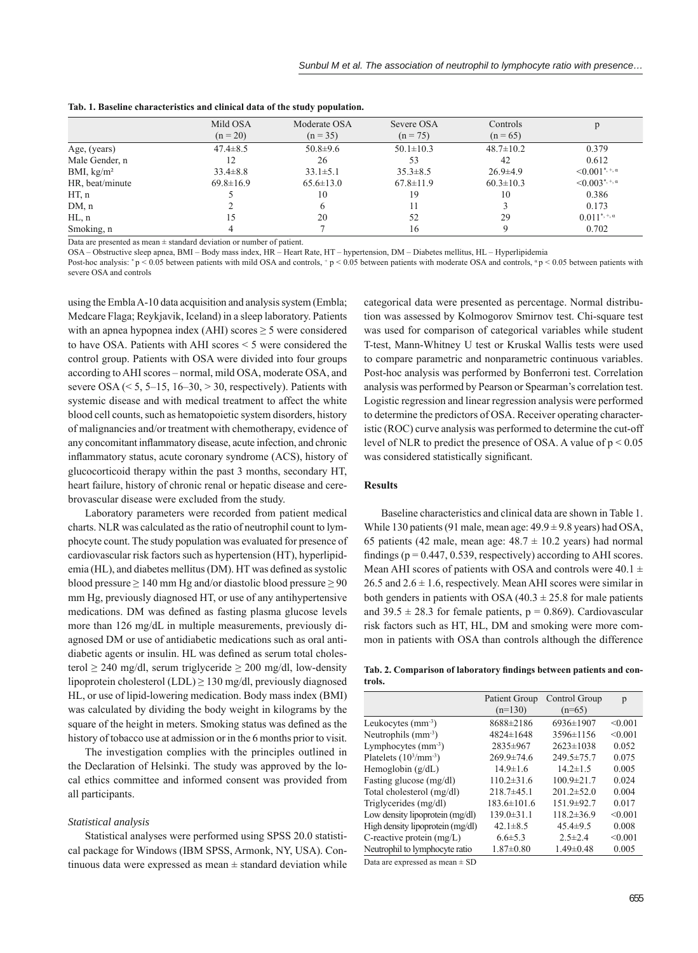|  |  |  | Tab. 1. Baseline characteristics and clinical data of the study population. |  |  |  |  |  |  |
|--|--|--|-----------------------------------------------------------------------------|--|--|--|--|--|--|
|--|--|--|-----------------------------------------------------------------------------|--|--|--|--|--|--|

|                 | Mild OSA<br>$(n = 20)$ | Moderate OSA<br>$(n = 35)$ | Severe OSA<br>$(n = 75)$ | Controls<br>$(n = 65)$ |                                           |
|-----------------|------------------------|----------------------------|--------------------------|------------------------|-------------------------------------------|
| Age, (years)    | $47.4 \pm 8.5$         | $50.8 \pm 9.6$             | $50.1 \pm 10.3$          | $48.7 \pm 10.2$        | 0.379                                     |
| Male Gender, n  | 12                     | 26                         | 53                       | 42                     | 0.612                                     |
| BMI, $kg/m2$    | $33.4 \pm 8.8$         | $33.1 \pm 5.1$             | $35.3 \pm 8.5$           | $26.9 \pm 4.9$         | $< 0.001$ <sup>*</sup> , <sup>+</sup> , a |
| HR, beat/minute | $69.8 \pm 16.9$        | $65.6 \pm 13.0$            | $67.8 \pm 11.9$          | $60.3 \pm 10.3$        | $<0.003$ <sup>*</sup> , <sup>+</sup> , a  |
| HT, n           |                        | 10                         | 19                       | 10                     | 0.386                                     |
| DM, n           |                        |                            |                          |                        | 0.173                                     |
| $HL$ , $n$      | 15                     | 20                         | 52                       | 29                     | $0.011^{*,+,a}$                           |
| Smoking, n      |                        |                            | 16                       |                        | 0.702                                     |

Data are presented as mean  $\pm$  standard deviation or number of patient.

OSA – Obstructive sleep apnea, BMI – Body mass index, HR – Heart Rate, HT – hypertension, DM – Diabetes mellitus, HL – Hyperlipidemia

Post-hoc analysis: \* p < 0.05 between patients with mild OSA and controls, \* p < 0.05 between patients with moderate OSA and controls,  ${}^{\alpha}$  p < 0.05 between patients with severe OSA and controls

using the Embla A-10 data acquisition and analysis system (Embla; Medcare Flaga; Reykjavik, Iceland) in a sleep laboratory. Patients with an apnea hypopnea index (AHI) scores  $\geq$  5 were considered to have OSA. Patients with AHI scores < 5 were considered the control group. Patients with OSA were divided into four groups according to AHI scores – normal, mild OSA, moderate OSA, and severe OSA ( $\leq$  5, 5–15, 16–30,  $>$  30, respectively). Patients with systemic disease and with medical treatment to affect the white blood cell counts, such as hematopoietic system disorders, history of malignancies and/or treatment with chemotherapy, evidence of any concomitant inflammatory disease, acute infection, and chronic inflammatory status, acute coronary syndrome (ACS), history of glucocorticoid therapy within the past 3 months, secondary HT, heart failure, history of chronic renal or hepatic disease and cerebrovascular disease were excluded from the study.

Laboratory parameters were recorded from patient medical charts. NLR was calculated as the ratio of neutrophil count to lymphocyte count. The study population was evaluated for presence of cardiovascular risk factors such as hypertension (HT), hyperlipidemia (HL), and diabetes mellitus (DM). HT was defined as systolic blood pressure  $\geq 140$  mm Hg and/or diastolic blood pressure  $\geq 90$ mm Hg, previously diagnosed HT, or use of any antihypertensive medications. DM was defined as fasting plasma glucose levels more than 126 mg/dL in multiple measurements, previously diagnosed DM or use of antidiabetic medications such as oral antidiabetic agents or insulin. HL was defined as serum total cholesterol  $\geq$  240 mg/dl, serum triglyceride  $\geq$  200 mg/dl, low-density lipoprotein cholesterol (LDL)  $\geq$  130 mg/dl, previously diagnosed HL, or use of lipid-lowering medication. Body mass index (BMI) was calculated by dividing the body weight in kilograms by the square of the height in meters. Smoking status was defined as the history of tobacco use at admission or in the 6 months prior to visit.

The investigation complies with the principles outlined in the Declaration of Helsinki. The study was approved by the local ethics committee and informed consent was provided from all participants.

# *Statistical analysis*

Statistical analyses were performed using SPSS 20.0 statistical package for Windows (IBM SPSS, Armonk, NY, USA). Continuous data were expressed as mean  $\pm$  standard deviation while categorical data were presented as percentage. Normal distribution was assessed by Kolmogorov Smirnov test. Chi-square test was used for comparison of categorical variables while student T-test, Mann-Whitney U test or Kruskal Wallis tests were used to compare parametric and nonparametric continuous variables. Post-hoc analysis was performed by Bonferroni test. Correlation analysis was performed by Pearson or Spearman's correlation test. Logistic regression and linear regression analysis were performed to determine the predictors of OSA. Receiver operating characteristic (ROC) curve analysis was performed to determine the cut-off level of NLR to predict the presence of OSA. A value of p < 0.05 was considered statistically significant.

#### **Results**

Baseline characteristics and clinical data are shown in Table 1. While 130 patients (91 male, mean age:  $49.9 \pm 9.8$  years) had OSA, 65 patients (42 male, mean age:  $48.7 \pm 10.2$  years) had normal findings ( $p = 0.447, 0.539$ , respectively) according to AHI scores. Mean AHI scores of patients with OSA and controls were  $40.1 \pm$ 26.5 and  $2.6 \pm 1.6$ , respectively. Mean AHI scores were similar in both genders in patients with OSA  $(40.3 \pm 25.8$  for male patients and  $39.5 \pm 28.3$  for female patients,  $p = 0.869$ ). Cardiovascular risk factors such as HT, HL, DM and smoking were more common in patients with OSA than controls although the difference

Tab. 2. Comparison of laboratory findings between patients and con**trols.**

|                                   | Patient Group     | Control Group    | p       |
|-----------------------------------|-------------------|------------------|---------|
|                                   | $(n=130)$         | $(n=65)$         |         |
| Leukocytes $(mm-3)$               | 8688±2186         | 6936±1907        | < 0.001 |
| Neutrophils $(mm-3)$              | $4824 \pm 1648$   | 3596±1156        | < 0.001 |
| Lymphocytes $(mm^{-3})$           | $2835 \pm 967$    | $2623 \pm 1038$  | 0.052   |
| Platelets $(10^3/\text{mm}^{-3})$ | $269.9 \pm 74.6$  | $249.5 \pm 75.7$ | 0.075   |
| Hemoglobin $(g/dL)$               | $14.9 \pm 1.6$    | $14.2 \pm 1.5$   | 0.005   |
| Fasting glucose (mg/dl)           | $110.2\pm31.6$    | $100.9 \pm 21.7$ | 0.024   |
| Total cholesterol (mg/dl)         | $218.7 \pm 45.1$  | $201.2 \pm 52.0$ | 0.004   |
| Triglycerides (mg/dl)             | $183.6 \pm 101.6$ | 151.9±92.7       | 0.017   |
| Low density lipoprotein (mg/dl)   | $139.0\pm31.1$    | $118.2 \pm 36.9$ | < 0.001 |
| High density lipoprotein (mg/dl)  | 42.1 $\pm$ 8.5    | $45.4 \pm 9.5$   | 0.008   |
| C-reactive protein $(mg/L)$       | $6.6 \pm 5.3$     | $2.5 \pm 2.4$    | < 0.001 |
| Neutrophil to lymphocyte ratio    | $1.87 \pm 0.80$   | $1.49\pm 0.48$   | 0.005   |
|                                   |                   |                  |         |

Data are expressed as mean ± SD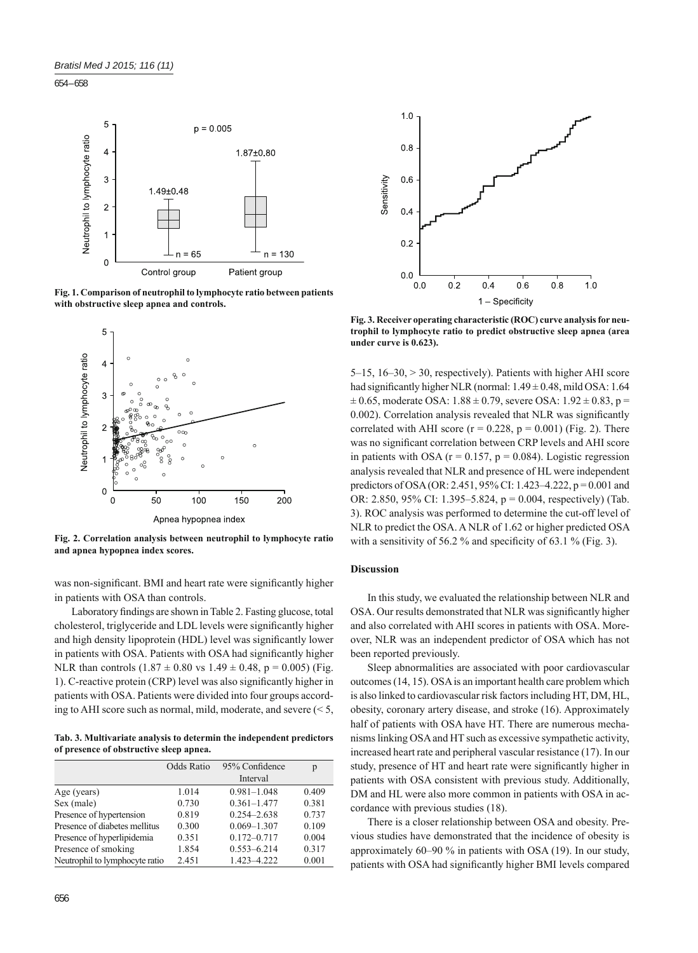654 – 658



**Fig. 1. Comparison of neutrophil to lymphocyte ratio between patients with obstructive sleep apnea and controls.**



**Fig. 2. Correlation analysis between neutrophil to lymphocyte ratio and apnea hypopnea index scores.**

was non-significant. BMI and heart rate were significantly higher in patients with OSA than controls.

Laboratory findings are shown in Table 2. Fasting glucose, total cholesterol, triglyceride and LDL levels were significantly higher and high density lipoprotein (HDL) level was significantly lower in patients with OSA. Patients with OSA had significantly higher NLR than controls  $(1.87 \pm 0.80 \text{ vs } 1.49 \pm 0.48, \text{ p} = 0.005)$  (Fig. 1). C-reactive protein (CRP) level was also significantly higher in patients with OSA. Patients were divided into four groups according to AHI score such as normal, mild, moderate, and severe (< 5,

**Tab. 3. Multivariate analysis to determin the independent predictors of presence of obstructive sleep apnea.**

|                                | Odds Ratio | 95% Confidence  | p     |
|--------------------------------|------------|-----------------|-------|
|                                |            | Interval        |       |
| Age (years)                    | 1.014      | $0.981 - 1.048$ | 0.409 |
| Sex (male)                     | 0.730      | $0.361 - 1.477$ | 0.381 |
| Presence of hypertension       | 0.819      | $0.254 - 2.638$ | 0.737 |
| Presence of diabetes mellitus  | 0.300      | $0.069 - 1.307$ | 0.109 |
| Presence of hyperlipidemia     | 0.351      | $0.172 - 0.717$ | 0.004 |
| Presence of smoking            | 1.854      | $0.553 - 6.214$ | 0.317 |
| Neutrophil to lymphocyte ratio | 2.451      | 1.423-4.222     | 0.001 |
|                                |            |                 |       |



**Fig. 3. Receiver operating characteristic (ROC) curve analysis for neutrophil to lymphocyte ratio to predict obstructive sleep apnea (area under curve is 0.623).**

5–15, 16–30, > 30, respectively). Patients with higher AHI score had significantly higher NLR (normal:  $1.49 \pm 0.48$ , mild OSA: 1.64  $\pm 0.65$ , moderate OSA:  $1.88 \pm 0.79$ , severe OSA:  $1.92 \pm 0.83$ , p =  $0.002$ ). Correlation analysis revealed that NLR was significantly correlated with AHI score  $(r = 0.228, p = 0.001)$  (Fig. 2). There was no significant correlation between CRP levels and AHI score in patients with OSA ( $r = 0.157$ ,  $p = 0.084$ ). Logistic regression analysis revealed that NLR and presence of HL were independent predictors of OSA (OR: 2.451, 95% CI: 1.423–4.222, p = 0.001 and OR: 2.850, 95% CI: 1.395–5.824, p = 0.004, respectively) (Tab. 3). ROC analysis was performed to determine the cut-off level of NLR to predict the OSA. A NLR of 1.62 or higher predicted OSA with a sensitivity of 56.2 % and specificity of 63.1 % (Fig. 3).

# **Discussion**

In this study, we evaluated the relationship between NLR and OSA. Our results demonstrated that NLR was significantly higher and also correlated with AHI scores in patients with OSA. Moreover, NLR was an independent predictor of OSA which has not been reported previously.

Sleep abnormalities are associated with poor cardiovascular outcomes (14, 15). OSA is an important health care problem which is also linked to cardiovascular risk factors including HT, DM, HL, obesity, coronary artery disease, and stroke (16). Approximately half of patients with OSA have HT. There are numerous mechanisms linking OSA and HT such as excessive sympathetic activity, increased heart rate and peripheral vascular resistance (17). In our study, presence of HT and heart rate were significantly higher in patients with OSA consistent with previous study. Additionally, DM and HL were also more common in patients with OSA in accordance with previous studies (18).

There is a closer relationship between OSA and obesity. Previous studies have demonstrated that the incidence of obesity is approximately 60–90 % in patients with OSA (19). In our study, patients with OSA had significantly higher BMI levels compared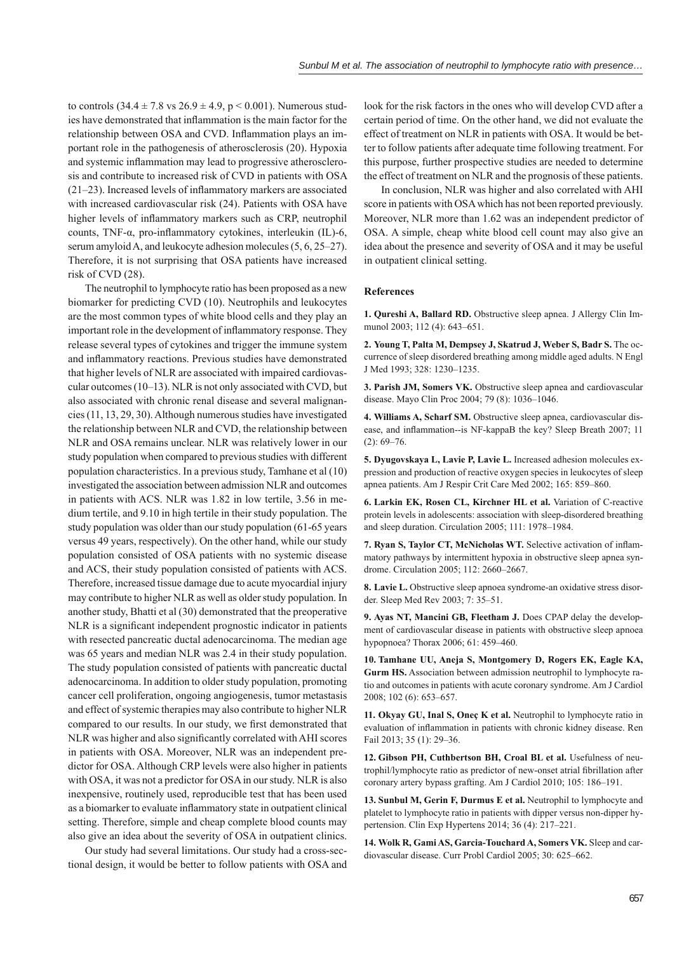to controls  $(34.4 \pm 7.8 \text{ vs } 26.9 \pm 4.9, p < 0.001)$ . Numerous studies have demonstrated that inflammation is the main factor for the relationship between OSA and CVD. Inflammation plays an important role in the pathogenesis of atherosclerosis (20). Hypoxia and systemic inflammation may lead to progressive atherosclerosis and contribute to increased risk of CVD in patients with OSA  $(21–23)$ . Increased levels of inflammatory markers are associated with increased cardiovascular risk (24). Patients with OSA have higher levels of inflammatory markers such as CRP, neutrophil counts, TNF- $\alpha$ , pro-inflammatory cytokines, interleukin (IL)-6, serum amyloid A, and leukocyte adhesion molecules (5, 6, 25–27). Therefore, it is not surprising that OSA patients have increased risk of CVD (28).

The neutrophil to lymphocyte ratio has been proposed as a new biomarker for predicting CVD (10). Neutrophils and leukocytes are the most common types of white blood cells and they play an important role in the development of inflammatory response. They release several types of cytokines and trigger the immune system and inflammatory reactions. Previous studies have demonstrated that higher levels of NLR are associated with impaired cardiovascular outcomes (10–13). NLR is not only associated with CVD, but also associated with chronic renal disease and several malignancies (11, 13, 29, 30). Although numerous studies have investigated the relationship between NLR and CVD, the relationship between NLR and OSA remains unclear. NLR was relatively lower in our study population when compared to previous studies with different population characteristics. In a previous study, Tamhane et al (10) investigated the association between admission NLR and outcomes in patients with ACS. NLR was 1.82 in low tertile, 3.56 in medium tertile, and 9.10 in high tertile in their study population. The study population was older than our study population (61-65 years versus 49 years, respectively). On the other hand, while our study population consisted of OSA patients with no systemic disease and ACS, their study population consisted of patients with ACS. Therefore, increased tissue damage due to acute myocardial injury may contribute to higher NLR as well as older study population. In another study, Bhatti et al (30) demonstrated that the preoperative NLR is a significant independent prognostic indicator in patients with resected pancreatic ductal adenocarcinoma. The median age was 65 years and median NLR was 2.4 in their study population. The study population consisted of patients with pancreatic ductal adenocarcinoma. In addition to older study population, promoting cancer cell proliferation, ongoing angiogenesis, tumor metastasis and effect of systemic therapies may also contribute to higher NLR compared to our results. In our study, we first demonstrated that NLR was higher and also significantly correlated with AHI scores in patients with OSA. Moreover, NLR was an independent predictor for OSA. Although CRP levels were also higher in patients with OSA, it was not a predictor for OSA in our study. NLR is also inexpensive, routinely used, reproducible test that has been used as a biomarker to evaluate inflammatory state in outpatient clinical setting. Therefore, simple and cheap complete blood counts may also give an idea about the severity of OSA in outpatient clinics.

Our study had several limitations. Our study had a cross-sectional design, it would be better to follow patients with OSA and

look for the risk factors in the ones who will develop CVD after a certain period of time. On the other hand, we did not evaluate the effect of treatment on NLR in patients with OSA. It would be better to follow patients after adequate time following treatment. For this purpose, further prospective studies are needed to determine the effect of treatment on NLR and the prognosis of these patients.

In conclusion, NLR was higher and also correlated with AHI score in patients with OSA which has not been reported previously. Moreover, NLR more than 1.62 was an independent predictor of OSA. A simple, cheap white blood cell count may also give an idea about the presence and severity of OSA and it may be useful in outpatient clinical setting.

#### **References**

**1. Qureshi A, Ballard RD.** Obstructive sleep apnea. J Allergy Clin Immunol 2003; 112 (4): 643–651.

**2. Young T, Palta M, Dempsey J, Skatrud J, Weber S, Badr S.** The occurrence of sleep disordered breathing among middle aged adults. N Engl J Med 1993; 328: 1230–1235.

**3. Parish JM, Somers VK.** Obstructive sleep apnea and cardiovascular disease. Mayo Clin Proc 2004; 79 (8): 1036–1046.

**4. Williams A, Scharf SM.** Obstructive sleep apnea, cardiovascular disease, and inflammation--is NF-kappaB the key? Sleep Breath 2007; 11  $(2): 69 - 76.$ 

**5. Dyugovskaya L, Lavie P, Lavie L.** Increased adhesion molecules expression and production of reactive oxygen species in leukocytes of sleep apnea patients. Am J Respir Crit Care Med 2002; 165: 859–860.

**6. Larkin EK, Rosen CL, Kirchner HL et al.** Variation of C-reactive protein levels in adolescents: association with sleep-disordered breathing and sleep duration. Circulation 2005; 111: 1978–1984.

7. Ryan S, Taylor CT, McNicholas WT. Selective activation of inflammatory pathways by intermittent hypoxia in obstructive sleep apnea syndrome. Circulation 2005; 112: 2660–2667.

**8. Lavie L.** Obstructive sleep apnoea syndrome-an oxidative stress disorder. Sleep Med Rev 2003; 7: 35–51.

**9. Ayas NT, Mancini GB, Fleetham J.** Does CPAP delay the development of cardiovascular disease in patients with obstructive sleep apnoea hypopnoea? Thorax 2006; 61: 459–460.

**10. Tamhane UU, Aneja S, Montgomery D, Rogers EK, Eagle KA, Gurm HS.** Association between admission neutrophil to lymphocyte ratio and outcomes in patients with acute coronary syndrome. Am J Cardiol 2008; 102 (6): 653–657.

**11. Okyay GU, Inal S, Oneç K et al.** Neutrophil to lymphocyte ratio in evaluation of inflammation in patients with chronic kidney disease. Ren Fail 2013; 35 (1): 29–36.

**12. Gibson PH, Cuthbertson BH, Croal BL et al.** Usefulness of neutrophil/lymphocyte ratio as predictor of new-onset atrial fibrillation after coronary artery bypass grafting. Am J Cardiol 2010; 105: 186–191.

**13. Sunbul M, Gerin F, Durmus E et al.** Neutrophil to lymphocyte and platelet to lymphocyte ratio in patients with dipper versus non-dipper hypertension. Clin Exp Hypertens 2014; 36 (4): 217–221.

**14. Wolk R, Gami AS, Garcia-Touchard A, Somers VK.** Sleep and cardiovascular disease. Curr Probl Cardiol 2005; 30: 625–662.